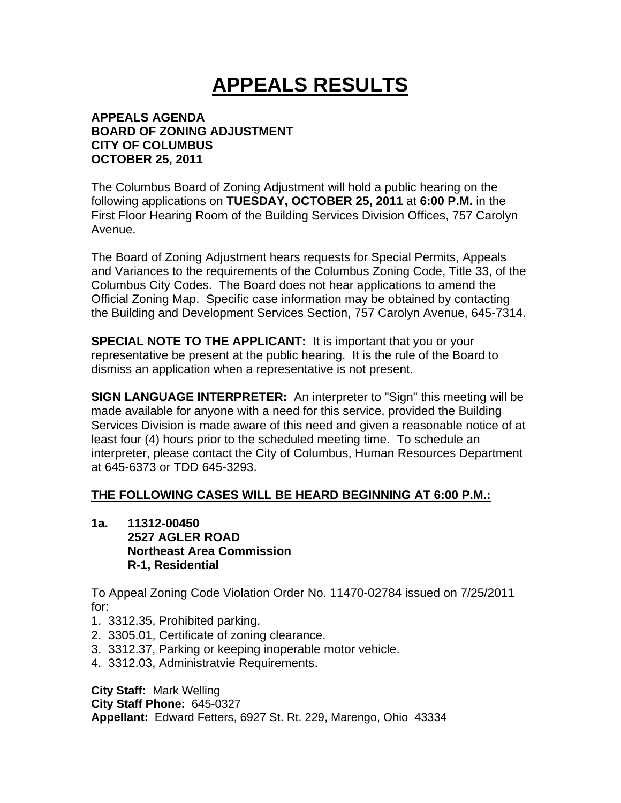## **APPEALS RESULTS**

## **APPEALS AGENDA BOARD OF ZONING ADJUSTMENT CITY OF COLUMBUS OCTOBER 25, 2011**

The Columbus Board of Zoning Adjustment will hold a public hearing on the following applications on **TUESDAY, OCTOBER 25, 2011** at **6:00 P.M.** in the First Floor Hearing Room of the Building Services Division Offices, 757 Carolyn Avenue.

The Board of Zoning Adjustment hears requests for Special Permits, Appeals and Variances to the requirements of the Columbus Zoning Code, Title 33, of the Columbus City Codes. The Board does not hear applications to amend the Official Zoning Map. Specific case information may be obtained by contacting the Building and Development Services Section, 757 Carolyn Avenue, 645-7314.

**SPECIAL NOTE TO THE APPLICANT:** It is important that you or your representative be present at the public hearing. It is the rule of the Board to dismiss an application when a representative is not present.

**SIGN LANGUAGE INTERPRETER:** An interpreter to "Sign" this meeting will be made available for anyone with a need for this service, provided the Building Services Division is made aware of this need and given a reasonable notice of at least four (4) hours prior to the scheduled meeting time. To schedule an interpreter, please contact the City of Columbus, Human Resources Department at 645-6373 or TDD 645-3293.

## **THE FOLLOWING CASES WILL BE HEARD BEGINNING AT 6:00 P.M.:**

**1a. 11312-00450 2527 AGLER ROAD Northeast Area Commission R-1, Residential** 

To Appeal Zoning Code Violation Order No. 11470-02784 issued on 7/25/2011 for:

- 1. 3312.35, Prohibited parking.
- 2. 3305.01, Certificate of zoning clearance.
- 3. 3312.37, Parking or keeping inoperable motor vehicle.
- 4. 3312.03, Administratvie Requirements.

**City Staff:** Mark Welling **City Staff Phone:** 645-0327 **Appellant:** Edward Fetters, 6927 St. Rt. 229, Marengo, Ohio 43334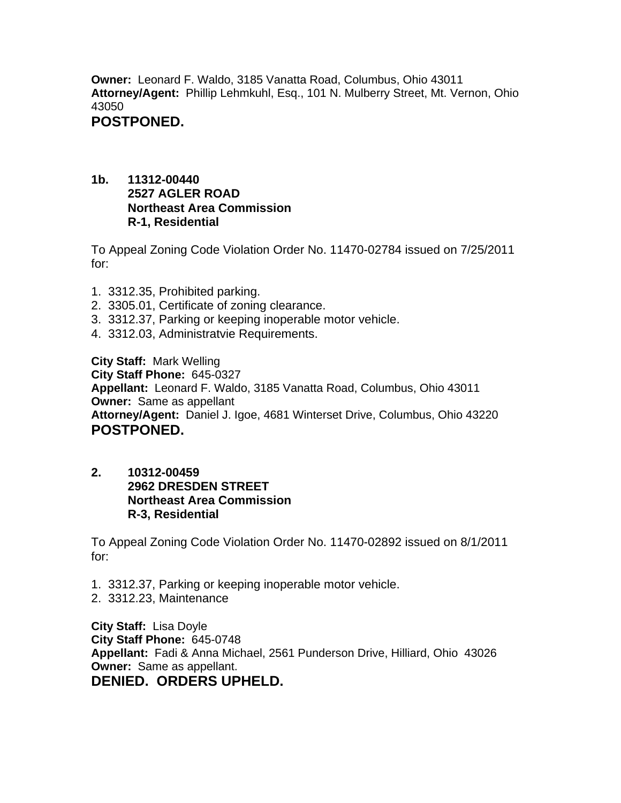**Owner:** Leonard F. Waldo, 3185 Vanatta Road, Columbus, Ohio 43011 **Attorney/Agent:** Phillip Lehmkuhl, Esq., 101 N. Mulberry Street, Mt. Vernon, Ohio 43050

## **POSTPONED.**

**1b. 11312-00440 2527 AGLER ROAD Northeast Area Commission R-1, Residential**

To Appeal Zoning Code Violation Order No. 11470-02784 issued on 7/25/2011 for:

- 1. 3312.35, Prohibited parking.
- 2. 3305.01, Certificate of zoning clearance.
- 3. 3312.37, Parking or keeping inoperable motor vehicle.
- 4. 3312.03, Administratvie Requirements.

**City Staff:** Mark Welling **City Staff Phone:** 645-0327 **Appellant:** Leonard F. Waldo, 3185 Vanatta Road, Columbus, Ohio 43011 **Owner:** Same as appellant **Attorney/Agent:** Daniel J. Igoe, 4681 Winterset Drive, Columbus, Ohio 43220 **POSTPONED.** 

**2. 10312-00459 2962 DRESDEN STREET Northeast Area Commission R-3, Residential** 

To Appeal Zoning Code Violation Order No. 11470-02892 issued on 8/1/2011 for:

- 1. 3312.37, Parking or keeping inoperable motor vehicle.
- 2. 3312.23, Maintenance

**City Staff:** Lisa Doyle **City Staff Phone:** 645-0748 **Appellant:** Fadi & Anna Michael, 2561 Punderson Drive, Hilliard, Ohio 43026 **Owner:** Same as appellant. **DENIED. ORDERS UPHELD.**